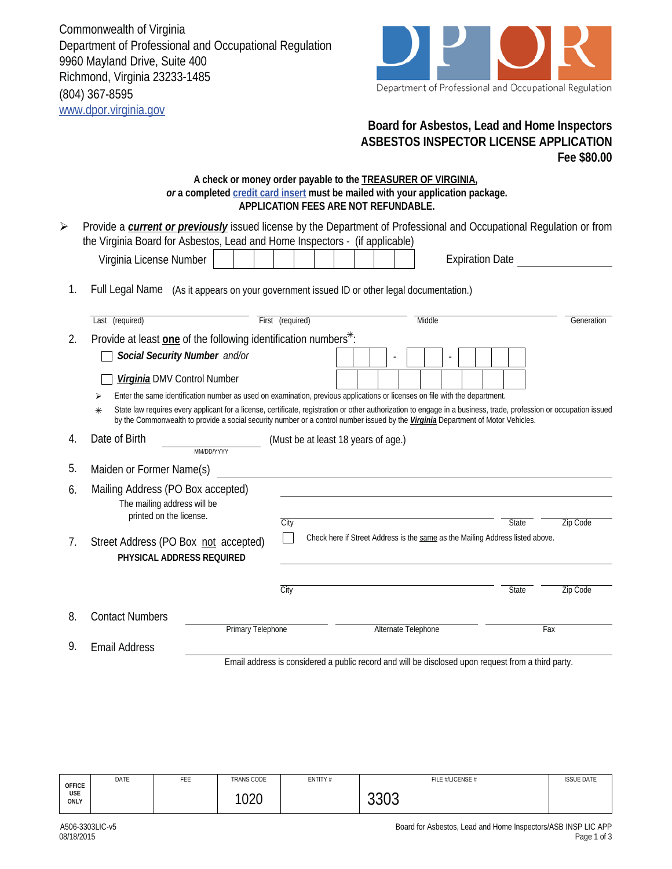Commonwealth of Virginia Department of Professional and Occupational Regulation 9960 Mayland Drive, Suite 400 Richmond, Virginia 23233-1485 (804) 367-8595 www.dpor.virginia.gov



## **Board for Asbestos, Lead and Home Inspectors ASBESTOS INSPECTOR LICENSE APPLICATION Fee \$80.00**

## **A check or money order payable to the TREASURER OF VIRGINIA,**  *or* **a completed credit card insert must be mailed with your application package. APPLICATION FEES ARE NOT REFUNDABLE.**

| $\blacktriangleright$                                                                              | Provide a <i>current or previously</i> issued license by the Department of Professional and Occupational Regulation or from<br>the Virginia Board for Asbestos, Lead and Home Inspectors - (if applicable)                                                                                                    |                                                                             |                                     |                                                                               |                 |  |
|----------------------------------------------------------------------------------------------------|---------------------------------------------------------------------------------------------------------------------------------------------------------------------------------------------------------------------------------------------------------------------------------------------------------------|-----------------------------------------------------------------------------|-------------------------------------|-------------------------------------------------------------------------------|-----------------|--|
|                                                                                                    | Virginia License Number                                                                                                                                                                                                                                                                                       |                                                                             |                                     | <b>Expiration Date</b>                                                        |                 |  |
| 1.                                                                                                 | Full Legal Name (As it appears on your government issued ID or other legal documentation.)                                                                                                                                                                                                                    |                                                                             |                                     |                                                                               |                 |  |
|                                                                                                    | Last (required)                                                                                                                                                                                                                                                                                               | First (required)                                                            |                                     | Middle                                                                        | Generation      |  |
| 2.                                                                                                 |                                                                                                                                                                                                                                                                                                               | Provide at least one of the following identification numbers <sup>*</sup> : |                                     |                                                                               |                 |  |
|                                                                                                    | Social Security Number and/or                                                                                                                                                                                                                                                                                 |                                                                             |                                     |                                                                               |                 |  |
|                                                                                                    | Virginia DMV Control Number                                                                                                                                                                                                                                                                                   |                                                                             |                                     |                                                                               |                 |  |
|                                                                                                    | Enter the same identification number as used on examination, previous applications or licenses on file with the department.<br>⋗                                                                                                                                                                              |                                                                             |                                     |                                                                               |                 |  |
|                                                                                                    | State law requires every applicant for a license, certificate, registration or other authorization to engage in a business, trade, profession or occupation issued<br>$*$<br>by the Commonwealth to provide a social security number or a control number issued by the Virginia Department of Motor Vehicles. |                                                                             |                                     |                                                                               |                 |  |
| 4.                                                                                                 | Date of Birth<br>MM/DD/YYYY                                                                                                                                                                                                                                                                                   |                                                                             | (Must be at least 18 years of age.) |                                                                               |                 |  |
| 5.                                                                                                 | Maiden or Former Name(s)                                                                                                                                                                                                                                                                                      |                                                                             |                                     |                                                                               |                 |  |
| 6.                                                                                                 | Mailing Address (PO Box accepted)<br>The mailing address will be<br>printed on the license.                                                                                                                                                                                                                   | City                                                                        |                                     | <b>State</b>                                                                  | Zip Code        |  |
| 7.                                                                                                 | Street Address (PO Box not accepted)<br>PHYSICAL ADDRESS REQUIRED                                                                                                                                                                                                                                             |                                                                             |                                     | Check here if Street Address is the same as the Mailing Address listed above. |                 |  |
|                                                                                                    |                                                                                                                                                                                                                                                                                                               | City                                                                        |                                     | <b>State</b>                                                                  | <b>Zip Code</b> |  |
| 8.                                                                                                 | <b>Contact Numbers</b>                                                                                                                                                                                                                                                                                        |                                                                             |                                     |                                                                               |                 |  |
|                                                                                                    | <b>Primary Telephone</b>                                                                                                                                                                                                                                                                                      |                                                                             | Alternate Telephone                 |                                                                               | Fax             |  |
| 9.<br><b>Email Address</b>                                                                         |                                                                                                                                                                                                                                                                                                               |                                                                             |                                     |                                                                               |                 |  |
| Email address is considered a public record and will be disclosed upon request from a third party. |                                                                                                                                                                                                                                                                                                               |                                                                             |                                     |                                                                               |                 |  |

| <b>OFFICE</b>      | DATE | <b>CCC</b><br>⊦ԷԷ | <b>TRANS CODE</b> | ENTITY# | FILE #/LICENSE # | <b>ISSUE DATE</b> |
|--------------------|------|-------------------|-------------------|---------|------------------|-------------------|
| <b>USE</b><br>ONLY |      |                   | 1000<br>vzu       |         | $\sim$<br>ບບບບ   |                   |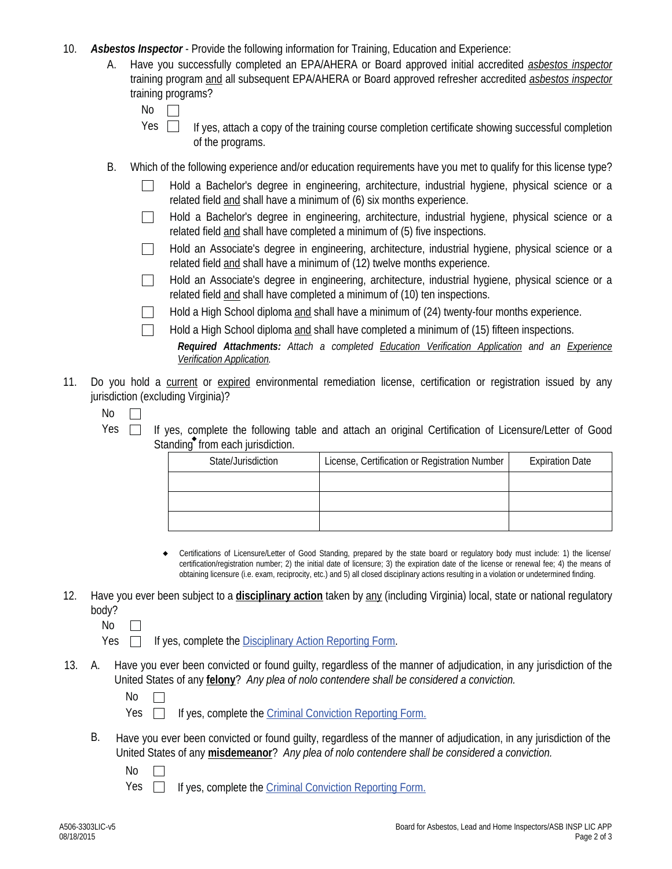- 10. *Asbestos Inspector* Provide the following information for Training, Education and Experience:
	- Have you successfully completed an EPA/AHERA or Board approved initial accredited *asbestos inspector*  training program and all subsequent EPA/AHERA or Board approved refresher accredited *asbestos inspector* training programs? A.

| ×<br>۰, |  |
|---------|--|
|         |  |

- If yes, attach a copy of the training course completion certificate showing successful completion of the programs. Yes  $\Box$
- B. Which of the following experience and/or education requirements have you met to qualify for this license type?
	- Hold a Bachelor's degree in engineering, architecture, industrial hygiene, physical science or a related field and shall have a minimum of (6) six months experience.
	- Hold a Bachelor's degree in engineering, architecture, industrial hygiene, physical science or a related field and shall have completed a minimum of (5) five inspections.
	- Hold an Associate's degree in engineering, architecture, industrial hygiene, physical science or a  $\mathbb{R}^n$ related field and shall have a minimum of (12) twelve months experience.
	- Hold an Associate's degree in engineering, architecture, industrial hygiene, physical science or a  $\perp$ related field and shall have completed a minimum of (10) ten inspections.

Hold a High School diploma and shall have a minimum of (24) twenty-four months experience.

- Hold a High School diploma and shall have completed a minimum of (15) fifteen inspections.
	- *Required Attachments: Attach a completed Education Verification Application and an Experience Verification Application.*
- 11. Do you hold a current or expired environmental remediation license, certification or registration issued by any jurisdiction (excluding Virginia)?
	- No  $\mathbb{R}^n$
	- Yes  $\Box$  If yes, complete the following table and attach an original Certification of Licensure/Letter of Good Standing<sup>®</sup> from each jurisdiction.

| State/Jurisdiction | License, Certification or Registration Number | <b>Expiration Date</b> |
|--------------------|-----------------------------------------------|------------------------|
|                    |                                               |                        |
|                    |                                               |                        |
|                    |                                               |                        |

- Certifications of Licensure/Letter of Good Standing, prepared by the state board or regulatory body must include: 1) the license/ certification/registration number; 2) the initial date of licensure; 3) the expiration date of the license or renewal fee; 4) the means of obtaining licensure (i.e. exam, reciprocity, etc.) and 5) all closed disciplinary actions resulting in a violation or undetermined finding.  $\bullet$
- 12. Have you ever been subject to a **disciplinary action** taken by any (including Virginia) local, state or national regulatory body?
	- No  $\Box$
	- Yes  $\Box$  If yes, complete the Disciplinary Action Reporting Form.
- A. Have you ever been convicted or found guilty, regardless of the manner of adjudication, in any jurisdiction of the United States of any **felony**? *Any plea of nolo contendere shall be considered a conviction.* 13.
	- No  $\mathbf{L}$
	- Yes  $\Box$  If yes, complete the Criminal Conviction Reporting Form.
	- B. Have you ever been convicted or found guilty, regardless of the manner of adjudication, in any jurisdiction of the United States of any **misdemeanor**? *Any plea of nolo contendere shall be considered a conviction.*
		- No  $\Box$
		- Yes  $\Box$ If yes, complete the Criminal Conviction Reporting Form.